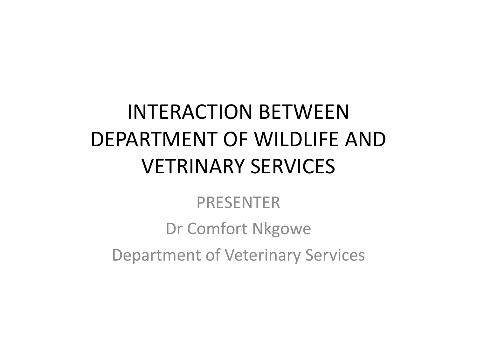# INTERACTION BETWEEN DEPARTMENT OF WILDLIFE ANDVETRINARY SERVICES

#### PRESENTER

### Dr Comfort Nkgowe

Department of Veterinary Services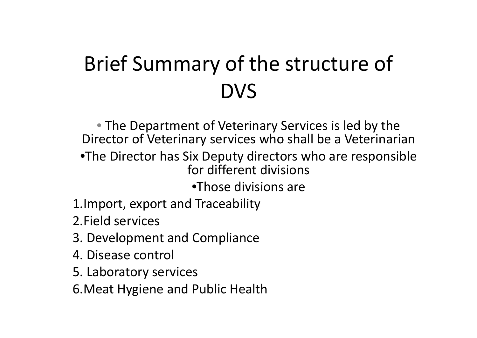# Brief Summary of the structure of DVS

• The Department of Veterinary Services is led by the Director of Veterinary services who shall be <sup>a</sup> Veterinarian •The Director has Six Deputy directors who are responsible for different divisions

•Those divisions are

1.Import, export and Traceability

2.Field services

- 3. Development and Compliance
- 4. Disease control
- 5. Laboratory services

6.Meat Hygiene and Public Health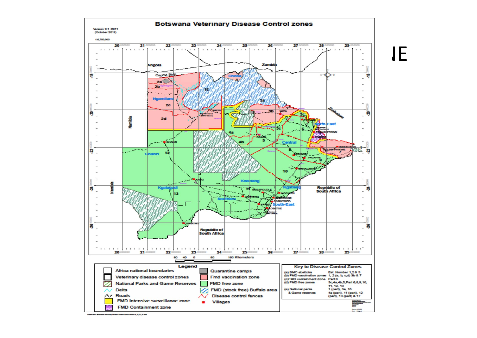

----------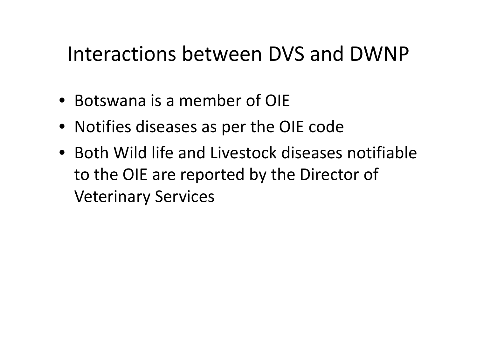### Interactions between DVS and DWNP

- Botswana is <sup>a</sup> member of OIE
- Notifies diseases as per the OIE code
- Both Wild life and Livestock diseases notifiable to the OIE are reported by the Director of Veterinary Services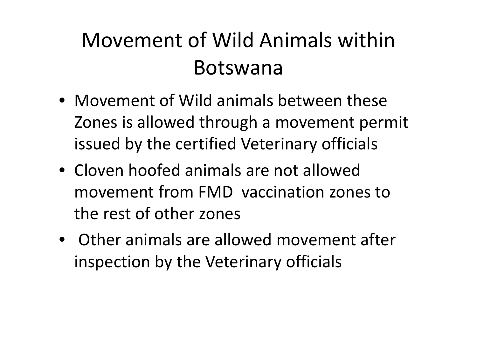### Movement of Wild Animals within Botswana

- Movement of Wild animals between these Zones is allowed through <sup>a</sup> movement permit issued by the certified Veterinary officials
- Cloven hoofed animals are not allowed movement from FMD vaccination zones to the rest of other zones
- Other animals are allowed movement after inspection by the Veterinary officials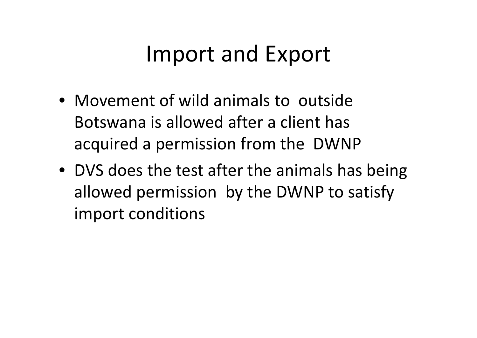### Import and Export

- Movement of wild animals to outside Botswana is allowed after <sup>a</sup> client has acquired <sup>a</sup> permission from the DWNP
- DVS does the test after the animals has being allowed permission by the DWNP to satisfy import conditions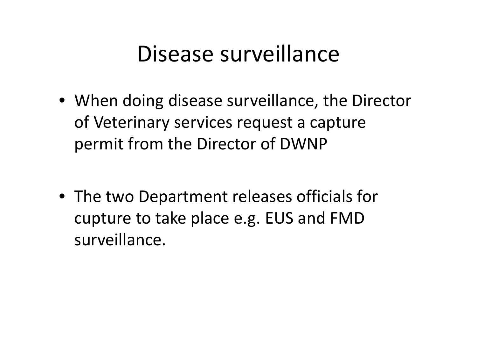### Disease surveillance

- When doing disease surveillance, the Director of Veterinary services request <sup>a</sup> capture permit from the Director of DWNP
- The two Department releases officials for cupture to take place e.g. EUS and FMD surveillance.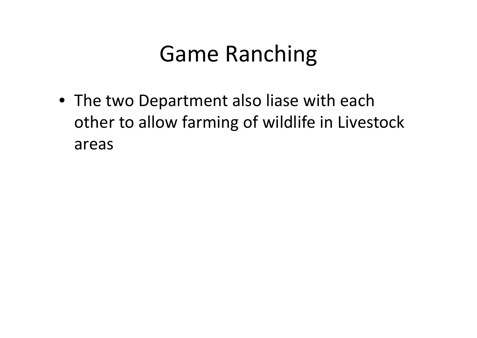## Game Ranching

• The two Department also liase with each other to allow farming of wildlife in Livestock areas